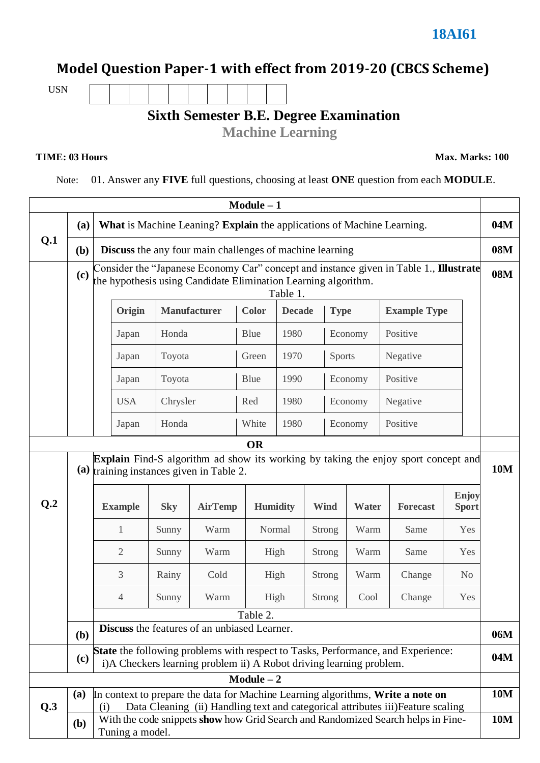## **Model Question Paper-1 with effect from 2019-20 (CBCS Scheme)**

USN

## **Sixth Semester B.E. Degree Examination**

**Machine Learning**

**TIME: 03 Hours Max. Marks: 100**

Note: 01. Answer any **FIVE** full questions, choosing at least **ONE** question from each **MODULE**.

|                 | $Module - 1$                                                                                                                                                                      |                                                                                                                                                                      |            |                |                 |               |               |               |                     |                       |  |
|-----------------|-----------------------------------------------------------------------------------------------------------------------------------------------------------------------------------|----------------------------------------------------------------------------------------------------------------------------------------------------------------------|------------|----------------|-----------------|---------------|---------------|---------------|---------------------|-----------------------|--|
|                 | What is Machine Leaning? Explain the applications of Machine Learning.<br>(a)<br>(b)<br><b>Discuss</b> the any four main challenges of machine learning                           |                                                                                                                                                                      |            |                |                 |               |               |               |                     | 04M                   |  |
| Q.1             |                                                                                                                                                                                   |                                                                                                                                                                      |            |                |                 |               |               |               |                     | 08M                   |  |
|                 | (c)                                                                                                                                                                               | Consider the "Japanese Economy Car" concept and instance given in Table 1., Illustrate<br>the hypothesis using Candidate Elimination Learning algorithm.<br>Table 1. |            |                |                 |               |               |               |                     |                       |  |
|                 |                                                                                                                                                                                   | <b>Manufacturer</b><br>Origin                                                                                                                                        |            |                | <b>Color</b>    | <b>Decade</b> | <b>Type</b>   |               | <b>Example Type</b> |                       |  |
|                 |                                                                                                                                                                                   | Japan                                                                                                                                                                | Honda      |                | Blue            | 1980          |               | Economy       | Positive            |                       |  |
|                 |                                                                                                                                                                                   | Japan                                                                                                                                                                |            | Toyota         |                 | 1970          |               | <b>Sports</b> | Negative            |                       |  |
|                 |                                                                                                                                                                                   | Japan                                                                                                                                                                | Toyota     |                | Blue            | 1990          |               | Economy       | Positive            |                       |  |
|                 |                                                                                                                                                                                   | <b>USA</b>                                                                                                                                                           | Chrysler   |                | Red             | 1980          | Economy       |               | Negative            |                       |  |
|                 |                                                                                                                                                                                   | Japan                                                                                                                                                                | Honda      |                | White           | 1980          |               | Economy       | Positive            |                       |  |
| <b>OR</b>       |                                                                                                                                                                                   |                                                                                                                                                                      |            |                |                 |               |               |               |                     |                       |  |
|                 | <b>Explain</b> Find-S algorithm ad show its working by taking the enjoy sport concept and<br>(a) training instances given in Table 2.                                             |                                                                                                                                                                      |            |                |                 |               |               |               |                     | <b>10M</b>            |  |
| Q <sub>.2</sub> |                                                                                                                                                                                   | <b>Example</b>                                                                                                                                                       | <b>Sky</b> | <b>AirTemp</b> | <b>Humidity</b> |               | <b>Wind</b>   | Water         | <b>Forecast</b>     | Enjoy<br><b>Sport</b> |  |
|                 |                                                                                                                                                                                   | $\mathbf{1}$                                                                                                                                                         | Sunny      | Warm           | Normal          |               | <b>Strong</b> | Warm          | Same                | Yes                   |  |
|                 |                                                                                                                                                                                   | $\overline{2}$                                                                                                                                                       | Sunny      | Warm           | High            |               | <b>Strong</b> | Warm          | Same                | Yes                   |  |
|                 |                                                                                                                                                                                   | 3                                                                                                                                                                    | Rainy      | Cold           | High            |               | <b>Strong</b> | Warm          | Change              | N <sub>o</sub>        |  |
|                 |                                                                                                                                                                                   | 4                                                                                                                                                                    | Sunny      | Warm           | High            |               | Strong        | Cool          | Change              | Yes                   |  |
|                 |                                                                                                                                                                                   |                                                                                                                                                                      |            |                | Table 2.        |               |               |               |                     |                       |  |
|                 | (b)                                                                                                                                                                               | <b>Discuss</b> the features of an unbiased Learner.                                                                                                                  |            |                |                 |               |               |               |                     | 06M                   |  |
|                 | State the following problems with respect to Tasks, Performance, and Experience:<br>(c)<br>i)A Checkers learning problem ii) A Robot driving learning problem.                    |                                                                                                                                                                      |            |                |                 |               |               |               |                     | 04M                   |  |
|                 | $Module - 2$                                                                                                                                                                      |                                                                                                                                                                      |            |                |                 |               |               |               |                     |                       |  |
| Q.3             | In context to prepare the data for Machine Learning algorithms, Write a note on<br>(a)<br>Data Cleaning (ii) Handling text and categorical attributes iii) Feature scaling<br>(i) |                                                                                                                                                                      |            |                |                 |               |               |               | <b>10M</b>          |                       |  |
|                 | With the code snippets show how Grid Search and Randomized Search helps in Fine-<br>(b)<br>Tuning a model.                                                                        |                                                                                                                                                                      |            |                |                 |               |               |               | <b>10M</b>          |                       |  |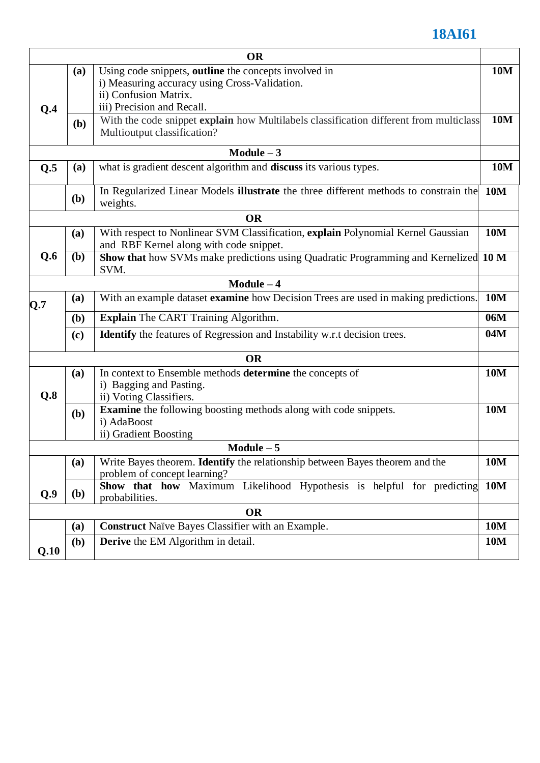## **18AI61**

|              |                                                                                                    | <b>OR</b>                                                                                                                                                            |            |  |  |  |  |
|--------------|----------------------------------------------------------------------------------------------------|----------------------------------------------------------------------------------------------------------------------------------------------------------------------|------------|--|--|--|--|
| Q.4          | (a)                                                                                                | Using code snippets, <b>outline</b> the concepts involved in<br>i) Measuring accuracy using Cross-Validation.<br>ii) Confusion Matrix.<br>iii) Precision and Recall. | <b>10M</b> |  |  |  |  |
|              | <b>(b)</b>                                                                                         | With the code snippet explain how Multilabels classification different from multiclass<br>Multioutput classification?                                                |            |  |  |  |  |
|              |                                                                                                    | $Module - 3$                                                                                                                                                         |            |  |  |  |  |
| Q.5          | what is gradient descent algorithm and discuss its various types.<br>(a)                           |                                                                                                                                                                      |            |  |  |  |  |
|              | ( <b>b</b> )                                                                                       | In Regularized Linear Models illustrate the three different methods to constrain the<br><b>10M</b><br>weights.                                                       |            |  |  |  |  |
|              |                                                                                                    | <b>OR</b>                                                                                                                                                            |            |  |  |  |  |
|              | (a)                                                                                                | With respect to Nonlinear SVM Classification, explain Polynomial Kernel Gaussian<br>and RBF Kernel along with code snippet.                                          | <b>10M</b> |  |  |  |  |
| Q.6          | (b)<br>Show that how SVMs make predictions using Quadratic Programming and Kernelized 10 M<br>SVM. |                                                                                                                                                                      |            |  |  |  |  |
| Module $-4$  |                                                                                                    |                                                                                                                                                                      |            |  |  |  |  |
| Q.7          | (a)                                                                                                | With an example dataset examine how Decision Trees are used in making predictions.                                                                                   |            |  |  |  |  |
|              | (b)                                                                                                | <b>Explain</b> The CART Training Algorithm.                                                                                                                          |            |  |  |  |  |
|              | <b>Identify</b> the features of Regression and Instability w.r.t decision trees.<br>(c)            |                                                                                                                                                                      |            |  |  |  |  |
|              |                                                                                                    | <b>OR</b>                                                                                                                                                            |            |  |  |  |  |
| Q.8          | (a)                                                                                                | In context to Ensemble methods determine the concepts of<br>i) Bagging and Pasting.<br>ii) Voting Classifiers.                                                       |            |  |  |  |  |
|              | (b)                                                                                                | <b>Examine</b> the following boosting methods along with code snippets.<br>i) AdaBoost<br>ii) Gradient Boosting                                                      |            |  |  |  |  |
| $Module - 5$ |                                                                                                    |                                                                                                                                                                      |            |  |  |  |  |
|              | (a)                                                                                                | Write Bayes theorem. <b>Identify</b> the relationship between Bayes theorem and the<br>problem of concept learning?                                                  | 10M        |  |  |  |  |
| Q.9          | (b)                                                                                                | Show that how Maximum Likelihood Hypothesis is helpful for predicting<br>probabilities.                                                                              | <b>10M</b> |  |  |  |  |
| <b>OR</b>    |                                                                                                    |                                                                                                                                                                      |            |  |  |  |  |
|              | (a)                                                                                                | <b>Construct Naïve Bayes Classifier with an Example.</b><br><b>10M</b>                                                                                               |            |  |  |  |  |
| Q.10         | (b)                                                                                                | <b>Derive</b> the EM Algorithm in detail.                                                                                                                            | <b>10M</b> |  |  |  |  |